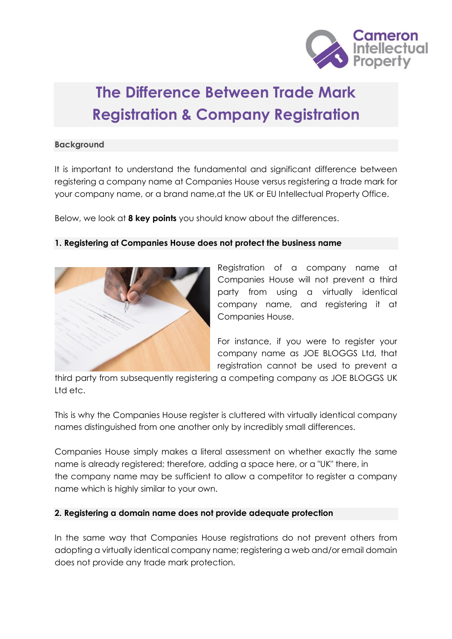

# **The Difference Between Trade Mark Registration & Company Registration**

### **Background**

It is important to understand the fundamental and significant difference between registering a company name at Companies House versus registering a trade mark for your company name, or a brand name,at the UK or EU Intellectual Property Office.

Below, we look at **8 key points** you should know about the differences.

## **1. Registering at Companies House does not protect the business name**



Registration of a company name at Companies House will not prevent a third party from using a virtually identical company name, and registering it at Companies House.

For instance, if you were to register your company name as JOE BLOGGS Ltd, that registration cannot be used to prevent a

third party from subsequently registering a competing company as JOE BLOGGS UK Ltd etc.

This is why the Companies House register is cluttered with virtually identical company names distinguished from one another only by incredibly small differences.

Companies House simply makes a literal assessment on whether exactly the same name is already registered; therefore, adding a space here, or a "UK" there, in the company name may be sufficient to allow a competitor to register a company name which is highly similar to your own.

## **2. Registering a domain name does not provide adequate protection**

In the same way that Companies House registrations do not prevent others from adopting a virtually identical company name; registering a web and/or email domain does not provide any trade mark protection.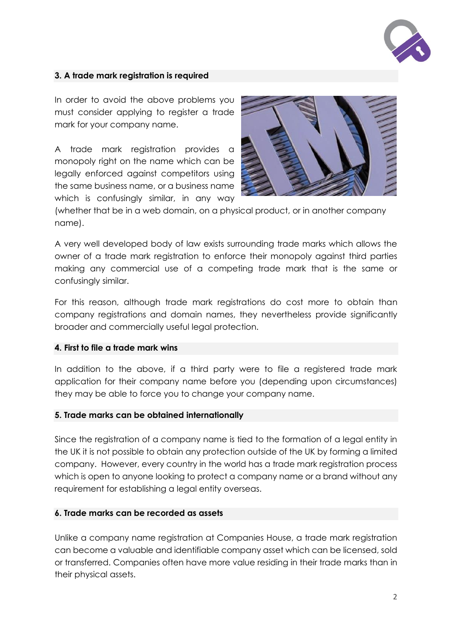

## **3. A trade mark registration is required**

In order to avoid the above problems you must consider applying to register a trade mark for your company name.

A trade mark registration provides a monopoly right on the name which can be legally enforced against competitors using the same business name, or a business name which is confusingly similar, in any way



(whether that be in a web domain, on a physical product, or in another company name).

A very well developed body of law exists surrounding trade marks which allows the owner of a trade mark registration to enforce their monopoly against third parties making any commercial use of a competing trade mark that is the same or confusingly similar.

For this reason, although trade mark registrations do cost more to obtain than company registrations and domain names, they nevertheless provide significantly broader and commercially useful legal protection.

#### **4. First to file a trade mark wins**

In addition to the above, if a third party were to file a registered trade mark application for their company name before you (depending upon circumstances) they may be able to force you to change your company name.

#### **5. Trade marks can be obtained internationally**

Since the registration of a company name is tied to the formation of a legal entity in the UK it is not possible to obtain any protection outside of the UK by forming a limited company. However, every country in the world has a trade mark registration process which is open to anyone looking to protect a company name or a brand without any requirement for establishing a legal entity overseas.

#### **6. Trade marks can be recorded as assets**

Unlike a company name registration at Companies House, a trade mark registration can become a valuable and identifiable company asset which can be licensed, sold or transferred. Companies often have more value residing in their trade marks than in their physical assets.